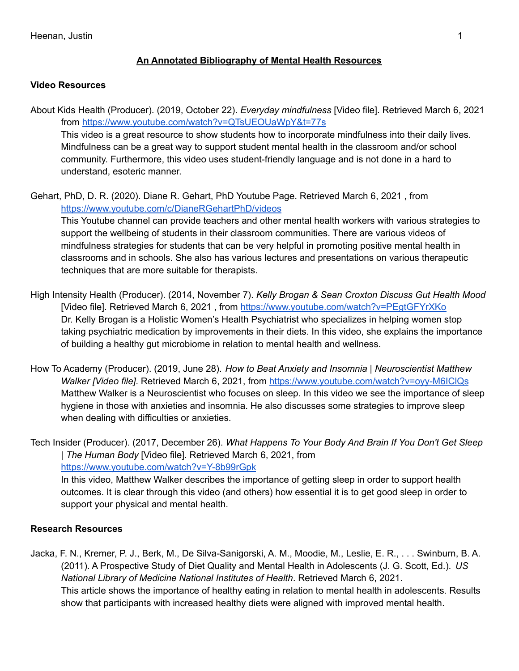## **An Annotated Bibliography of Mental Health Resources**

## **Video Resources**

About Kids Health (Producer). (2019, October 22). *Everyday mindfulness* [Video file]. Retrieved March 6, 2021 from <https://www.youtube.com/watch?v=QTsUEOUaWpY&t=77s> This video is a great resource to show students how to incorporate mindfulness into their daily lives.

Mindfulness can be a great way to support student mental health in the classroom and/or school community. Furthermore, this video uses student-friendly language and is not done in a hard to understand, esoteric manner.

Gehart, PhD, D. R. (2020). Diane R. Gehart, PhD Youtube Page. Retrieved March 6, 2021 , from <https://www.youtube.com/c/DianeRGehartPhD/videos>

This Youtube channel can provide teachers and other mental health workers with various strategies to support the wellbeing of students in their classroom communities. There are various videos of mindfulness strategies for students that can be very helpful in promoting positive mental health in classrooms and in schools. She also has various lectures and presentations on various therapeutic techniques that are more suitable for therapists.

- High Intensity Health (Producer). (2014, November 7). *Kelly Brogan & Sean Croxton Discuss Gut Health Mood* [Video file]. Retrieved March 6, 2021, from <https://www.youtube.com/watch?v=PEgtGFYrXKo> Dr. Kelly Brogan is a Holistic Women's Health Psychiatrist who specializes in helping women stop taking psychiatric medication by improvements in their diets. In this video, she explains the importance of building a healthy gut microbiome in relation to mental health and wellness.
- How To Academy (Producer). (2019, June 28). *How to Beat Anxiety and Insomnia | Neuroscientist Matthew Walker [Video file]*. Retrieved March 6, 2021, from <https://www.youtube.com/watch?v=oyy-M6IClQs> Matthew Walker is a Neuroscientist who focuses on sleep. In this video we see the importance of sleep hygiene in those with anxieties and insomnia. He also discusses some strategies to improve sleep when dealing with difficulties or anxieties.

Tech Insider (Producer). (2017, December 26). *What Happens To Your Body And Brain If You Don't Get Sleep | The Human Body* [Video file]. Retrieved March 6, 2021, from [https://www.youtube.com/watch?v=Y-8b99rGpk](https://www.youtube.com/watch?v=Y-8b99rGpkM)

In this video, Matthew Walker describes the importance of getting sleep in order to support health outcomes. It is clear through this video (and others) how essential it is to get good sleep in order to support your physical and mental health.

## **Research Resources**

Jacka, F. N., Kremer, P. J., Berk, M., De Silva-Sanigorski, A. M., Moodie, M., Leslie, E. R., . . . Swinburn, B. A. (2011). A Prospective Study of Diet Quality and Mental Health in Adolescents (J. G. Scott, Ed.). *US National Library of Medicine National Institutes of Health*. Retrieved March 6, 2021. This article shows the importance of healthy eating in relation to mental health in adolescents. Results show that participants with increased healthy diets were aligned with improved mental health.